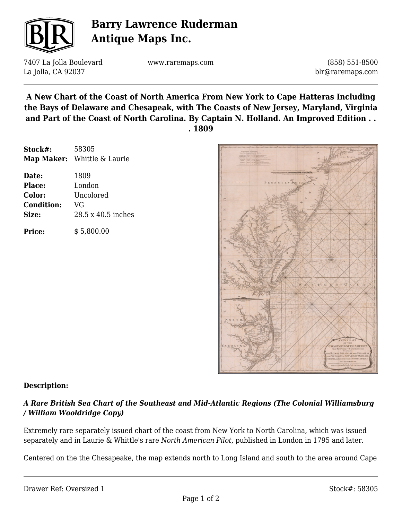

# **Barry Lawrence Ruderman Antique Maps Inc.**

7407 La Jolla Boulevard La Jolla, CA 92037

www.raremaps.com

(858) 551-8500 blr@raremaps.com

**A New Chart of the Coast of North America From New York to Cape Hatteras Including the Bays of Delaware and Chesapeak, with The Coasts of New Jersey, Maryland, Virginia and Part of the Coast of North Carolina. By Captain N. Holland. An Improved Edition . . . 1809**

| Stock#:           | 58305                       |
|-------------------|-----------------------------|
|                   | Map Maker: Whittle & Laurie |
| Date:             | 1809                        |
| Place:            | London                      |
| Color:            | Uncolored                   |
| <b>Condition:</b> | VG                          |
| Size:             | 28.5 x 40.5 inches          |
| Price:            | \$5,800.00                  |



#### **Description:**

### *A Rare British Sea Chart of the Southeast and Mid-Atlantic Regions (The Colonial Williamsburg / William Wooldridge Copy)*

Extremely rare separately issued chart of the coast from New York to North Carolina, which was issued separately and in Laurie & Whittle's rare *North American Pilot*, published in London in 1795 and later.

Centered on the the Chesapeake, the map extends north to Long Island and south to the area around Cape